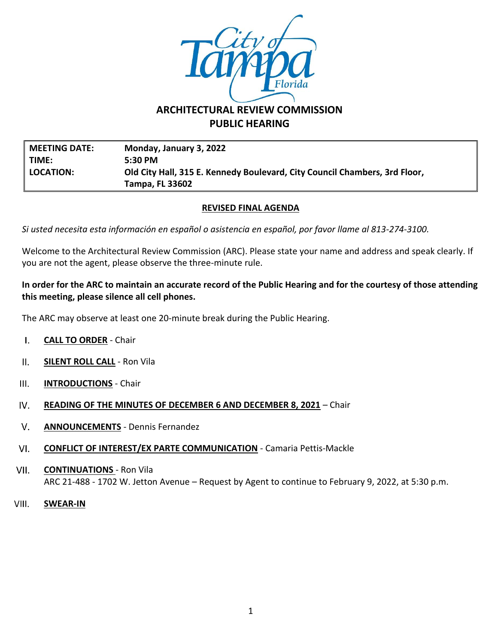

# **ARCHITECTURAL REVIEW COMMISSION PUBLIC HEARING**

**MEETING DATE: Monday, January 3, 2022 TIME: 5:30 PM LOCATION: Old City Hall, 315 E. Kennedy Boulevard, City Council Chambers, 3rd Floor, Tampa, FL 33602**

## **REVISED FINAL AGENDA**

*Si usted necesita esta información en español o asistencia en español, por favor llame al 813-274-3100.*

Welcome to the Architectural Review Commission (ARC). Please state your name and address and speak clearly. If you are not the agent, please observe the three-minute rule.

## **In order for the ARC to maintain an accurate record of the Public Hearing and for the courtesy of those attending this meeting, please silence all cell phones.**

The ARC may observe at least one 20-minute break during the Public Hearing.

- $\mathbf{I}$ . **CALL TO ORDER** - Chair
- $II.$ **SILENT ROLL CALL** - Ron Vila
- $III.$ **INTRODUCTIONS** - Chair
- IV. **READING OF THE MINUTES OF DECEMBER 6 AND DECEMBER 8, 2021** – Chair
- $V_{\cdot}$ **ANNOUNCEMENTS** - Dennis Fernandez
- $VI.$ **CONFLICT OF INTEREST/EX PARTE COMMUNICATION** - Camaria Pettis-Mackle
- VII. **CONTINUATIONS** - Ron Vila ARC 21-488 - 1702 W. Jetton Avenue – Request by Agent to continue to February 9, 2022, at 5:30 p.m.
- VIII. **SWEAR-IN**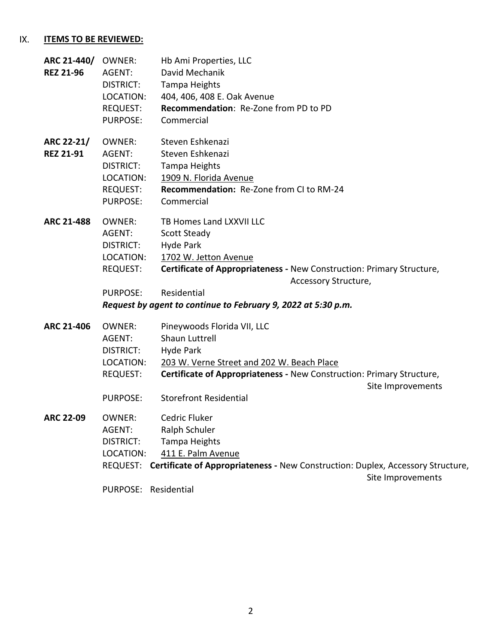#### IX. **ITEMS TO BE REVIEWED:**

| ARC 21-440/ OWNER:<br><b>REZ 21-96</b> | AGENT:<br>DISTRICT:<br>LOCATION:<br>REQUEST:<br><b>PURPOSE:</b>                         | Hb Ami Properties, LLC<br>David Mechanik<br>Tampa Heights<br>404, 406, 408 E. Oak Avenue<br><b>Recommendation: Re-Zone from PD to PD</b><br>Commercial                                                                                                                 |
|----------------------------------------|-----------------------------------------------------------------------------------------|------------------------------------------------------------------------------------------------------------------------------------------------------------------------------------------------------------------------------------------------------------------------|
| ARC 22-21/<br><b>REZ 21-91</b>         | OWNER:<br>AGENT:<br><b>DISTRICT:</b><br>LOCATION:<br><b>REQUEST:</b><br><b>PURPOSE:</b> | Steven Eshkenazi<br>Steven Eshkenazi<br><b>Tampa Heights</b><br>1909 N. Florida Avenue<br>Recommendation: Re-Zone from CI to RM-24<br>Commercial                                                                                                                       |
| <b>ARC 21-488</b>                      | OWNER:<br>AGENT:<br>DISTRICT:<br>LOCATION:<br><b>REQUEST:</b><br><b>PURPOSE:</b>        | TB Homes Land LXXVII LLC<br><b>Scott Steady</b><br>Hyde Park<br>1702 W. Jetton Avenue<br>Certificate of Appropriateness - New Construction: Primary Structure,<br>Accessory Structure,<br>Residential<br>Request by agent to continue to February 9, 2022 at 5:30 p.m. |
| <b>ARC 21-406</b>                      | <b>OWNER:</b><br>AGENT:<br>DISTRICT:<br>LOCATION:<br><b>REQUEST:</b><br><b>PURPOSE:</b> | Pineywoods Florida VII, LLC<br>Shaun Luttrell<br>Hyde Park<br>203 W. Verne Street and 202 W. Beach Place<br>Certificate of Appropriateness - New Construction: Primary Structure,<br>Site Improvements<br><b>Storefront Residential</b>                                |
| <b>ARC 22-09</b>                       | OWNER:<br>AGENT:<br><b>DISTRICT:</b><br>LOCATION:<br>PURPOSE: Residential               | Cedric Fluker<br>Ralph Schuler<br>Tampa Heights<br>411 E. Palm Avenue<br>REQUEST: Certificate of Appropriateness - New Construction: Duplex, Accessory Structure,<br>Site Improvements                                                                                 |